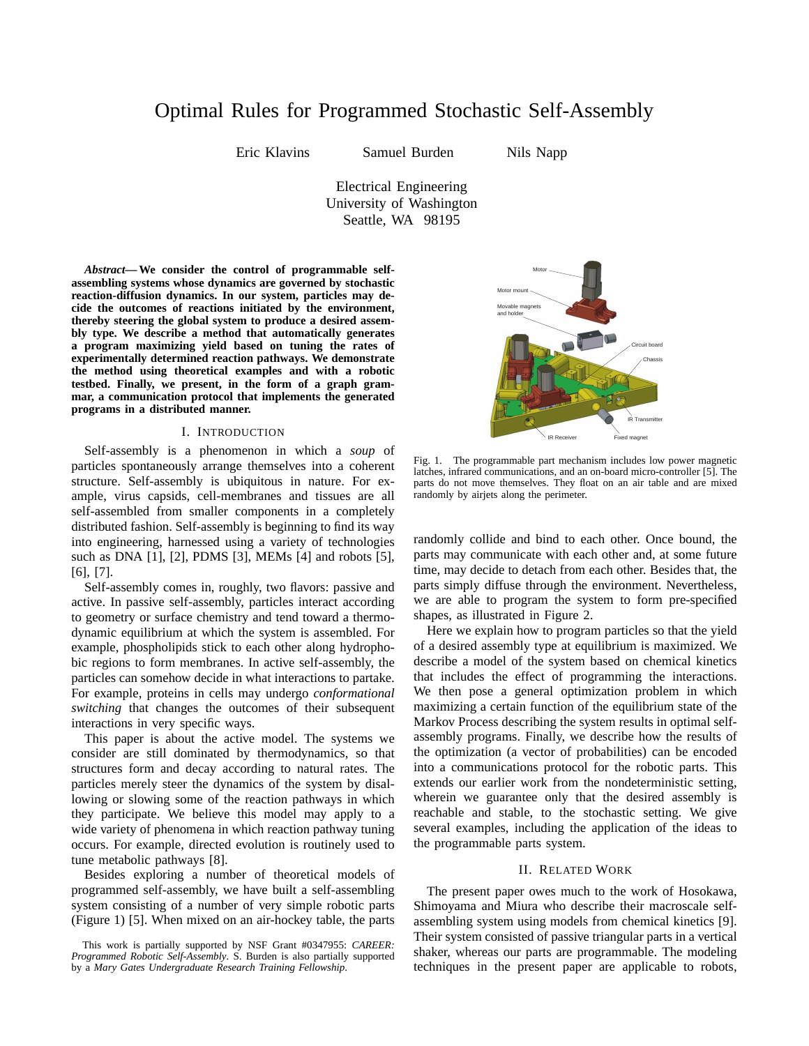# Optimal Rules for Programmed Stochastic Self-Assembly

Eric Klavins Samuel Burden Nils Napp

Electrical Engineering University of Washington Seattle, WA 98195

*Abstract***— We consider the control of programmable selfassembling systems whose dynamics are governed by stochastic reaction-diffusion dynamics. In our system, particles may decide the outcomes of reactions initiated by the environment, thereby steering the global system to produce a desired assembly type. We describe a method that automatically generates a program maximizing yield based on tuning the rates of experimentally determined reaction pathways. We demonstrate the method using theoretical examples and with a robotic testbed. Finally, we present, in the form of a graph grammar, a communication protocol that implements the generated programs in a distributed manner.**

#### I. INTRODUCTION

Self-assembly is a phenomenon in which a *soup* of particles spontaneously arrange themselves into a coherent structure. Self-assembly is ubiquitous in nature. For example, virus capsids, cell-membranes and tissues are all self-assembled from smaller components in a completely distributed fashion. Self-assembly is beginning to find its way into engineering, harnessed using a variety of technologies such as DNA [1], [2], PDMS [3], MEMs [4] and robots [5], [6], [7].

Self-assembly comes in, roughly, two flavors: passive and active. In passive self-assembly, particles interact according to geometry or surface chemistry and tend toward a thermodynamic equilibrium at which the system is assembled. For example, phospholipids stick to each other along hydrophobic regions to form membranes. In active self-assembly, the particles can somehow decide in what interactions to partake. For example, proteins in cells may undergo *conformational switching* that changes the outcomes of their subsequent interactions in very specific ways.

This paper is about the active model. The systems we consider are still dominated by thermodynamics, so that structures form and decay according to natural rates. The particles merely steer the dynamics of the system by disallowing or slowing some of the reaction pathways in which they participate. We believe this model may apply to a wide variety of phenomena in which reaction pathway tuning occurs. For example, directed evolution is routinely used to tune metabolic pathways [8].

Besides exploring a number of theoretical models of programmed self-assembly, we have built a self-assembling system consisting of a number of very simple robotic parts (Figure 1) [5]. When mixed on an air-hockey table, the parts



Fig. 1. The programmable part mechanism includes low power magnetic latches, infrared communications, and an on-board micro-controller [5]. The parts do not move themselves. They float on an air table and are mixed randomly by airjets along the perimeter.

randomly collide and bind to each other. Once bound, the parts may communicate with each other and, at some future time, may decide to detach from each other. Besides that, the parts simply diffuse through the environment. Nevertheless, we are able to program the system to form pre-specified shapes, as illustrated in Figure 2.

Here we explain how to program particles so that the yield of a desired assembly type at equilibrium is maximized. We describe a model of the system based on chemical kinetics that includes the effect of programming the interactions. We then pose a general optimization problem in which maximizing a certain function of the equilibrium state of the Markov Process describing the system results in optimal selfassembly programs. Finally, we describe how the results of the optimization (a vector of probabilities) can be encoded into a communications protocol for the robotic parts. This extends our earlier work from the nondeterministic setting, wherein we guarantee only that the desired assembly is reachable and stable, to the stochastic setting. We give several examples, including the application of the ideas to the programmable parts system.

#### II. RELATED WORK

The present paper owes much to the work of Hosokawa, Shimoyama and Miura who describe their macroscale selfassembling system using models from chemical kinetics [9]. Their system consisted of passive triangular parts in a vertical shaker, whereas our parts are programmable. The modeling techniques in the present paper are applicable to robots,

This work is partially supported by NSF Grant #0347955: *CAREER: Programmed Robotic Self-Assembly*. S. Burden is also partially supported by a *Mary Gates Undergraduate Research Training Fellowship*.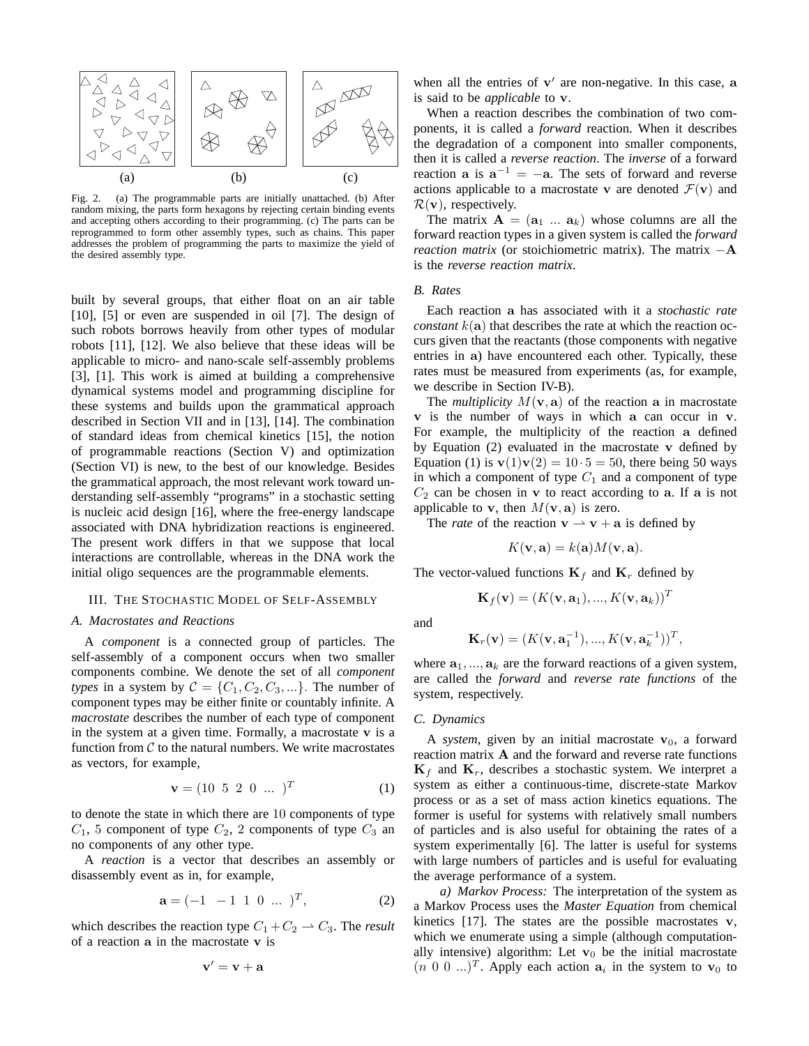

Fig. 2. (a) The programmable parts are initially unattached. (b) After random mixing, the parts form hexagons by rejecting certain binding events and accepting others according to their programming. (c) The parts can be reprogrammed to form other assembly types, such as chains. This paper addresses the problem of programming the parts to maximize the yield of the desired assembly type.

built by several groups, that either float on an air table [10], [5] or even are suspended in oil [7]. The design of such robots borrows heavily from other types of modular robots [11], [12]. We also believe that these ideas will be applicable to micro- and nano-scale self-assembly problems [3], [1]. This work is aimed at building a comprehensive dynamical systems model and programming discipline for these systems and builds upon the grammatical approach described in Section VII and in [13], [14]. The combination of standard ideas from chemical kinetics [15], the notion of programmable reactions (Section V) and optimization (Section VI) is new, to the best of our knowledge. Besides the grammatical approach, the most relevant work toward understanding self-assembly "programs" in a stochastic setting is nucleic acid design [16], where the free-energy landscape associated with DNA hybridization reactions is engineered. The present work differs in that we suppose that local interactions are controllable, whereas in the DNA work the initial oligo sequences are the programmable elements.

# III. THE STOCHASTIC MODEL OF SELF-ASSEMBLY

## *A. Macrostates and Reactions*

A *component* is a connected group of particles. The self-assembly of a component occurs when two smaller components combine. We denote the set of all *component types* in a system by  $C = \{C_1, C_2, C_3, ...\}$ . The number of component types may be either finite or countably infinite. A *macrostate* describes the number of each type of component in the system at a given time. Formally, a macrostate  $v$  is a function from  $C$  to the natural numbers. We write macrostates as vectors, for example,

$$
\mathbf{v} = (10 \ 5 \ 2 \ 0 \ \dots \ )^T \tag{1}
$$

to denote the state in which there are 10 components of type  $C_1$ , 5 component of type  $C_2$ , 2 components of type  $C_3$  an no components of any other type.

A *reaction* is a vector that describes an assembly or disassembly event as in, for example,

$$
\mathbf{a} = \begin{pmatrix} -1 & -1 & 1 & 0 & \dots \end{pmatrix}^T, \tag{2}
$$

which describes the reaction type  $C_1 + C_2 \rightarrow C_3$ . The *result* of a reaction a in the macrostate v is

$$
\mathbf{v}' = \mathbf{v} + \mathbf{a}
$$

when all the entries of  $v'$  are non-negative. In this case, a is said to be *applicable* to v.

When a reaction describes the combination of two components, it is called a *forward* reaction. When it describes the degradation of a component into smaller components, then it is called a *reverse reaction*. The *inverse* of a forward reaction **a** is  $a^{-1} = -a$ . The sets of forward and reverse actions applicable to a macrostate v are denoted  $\mathcal{F}(v)$  and  $\mathcal{R}(v)$ , respectively.

The matrix  $\mathbf{A} = (\mathbf{a}_1 \dots \mathbf{a}_k)$  whose columns are all the forward reaction types in a given system is called the *forward reaction matrix* (or stoichiometric matrix). The matrix  $-A$ is the *reverse reaction matrix*.

# *B. Rates*

Each reaction a has associated with it a *stochastic rate constant*  $k(a)$  that describes the rate at which the reaction occurs given that the reactants (those components with negative entries in a) have encountered each other. Typically, these rates must be measured from experiments (as, for example, we describe in Section IV-B).

The *multiplicity*  $M(\mathbf{v}, \mathbf{a})$  of the reaction a in macrostate v is the number of ways in which a can occur in v. For example, the multiplicity of the reaction a defined by Equation  $(2)$  evaluated in the macrostate v defined by Equation (1) is  $\mathbf{v}(1)\mathbf{v}(2) = 10 \cdot 5 = 50$ , there being 50 ways in which a component of type  $C_1$  and a component of type  $C_2$  can be chosen in v to react according to a. If a is not applicable to **v**, then  $M(\mathbf{v}, \mathbf{a})$  is zero.

The *rate* of the reaction  $v \rightarrow v + a$  is defined by

$$
K(\mathbf{v}, \mathbf{a}) = k(\mathbf{a})M(\mathbf{v}, \mathbf{a}).
$$

The vector-valued functions  $\mathbf{K}_f$  and  $\mathbf{K}_r$  defined by

$$
\mathbf{K}_f(\mathbf{v}) = (K(\mathbf{v}, \mathbf{a}_1), ..., K(\mathbf{v}, \mathbf{a}_k))^T
$$

and

$$
\mathbf{K}_r(\mathbf{v}) = (K(\mathbf{v}, \mathbf{a}_1^{-1}), ..., K(\mathbf{v}, \mathbf{a}_k^{-1}))^T,
$$

where  $a_1, ..., a_k$  are the forward reactions of a given system, are called the *forward* and *reverse rate functions* of the system, respectively.

#### *C. Dynamics*

A *system*, given by an initial macrostate  $v_0$ , a forward reaction matrix A and the forward and reverse rate functions  $\mathbf{K}_f$  and  $\mathbf{K}_r$ , describes a stochastic system. We interpret a system as either a continuous-time, discrete-state Markov process or as a set of mass action kinetics equations. The former is useful for systems with relatively small numbers of particles and is also useful for obtaining the rates of a system experimentally [6]. The latter is useful for systems with large numbers of particles and is useful for evaluating the average performance of a system.

*a) Markov Process:* The interpretation of the system as a Markov Process uses the *Master Equation* from chemical kinetics  $[17]$ . The states are the possible macrostates v, which we enumerate using a simple (although computationally intensive) algorithm: Let  $v_0$  be the initial macrostate  $(n\ 0\ 0\ ...)$ <sup>T</sup>. Apply each action  $a_i$  in the system to  $v_0$  to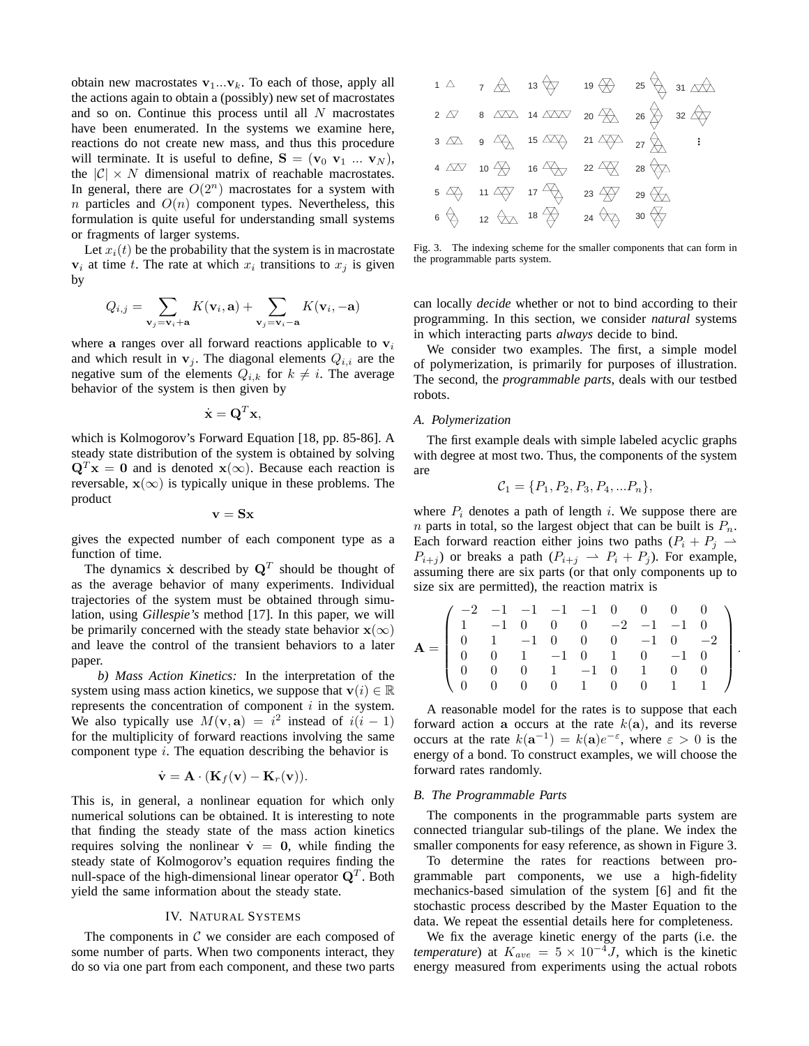obtain new macrostates  $v_1...v_k$ . To each of those, apply all the actions again to obtain a (possibly) new set of macrostates and so on. Continue this process until all  $N$  macrostates have been enumerated. In the systems we examine here, reactions do not create new mass, and thus this procedure will terminate. It is useful to define,  $S = (v_0, v_1, \ldots, v_N)$ , the  $|C| \times N$  dimensional matrix of reachable macrostates. In general, there are  $O(2^n)$  macrostates for a system with n particles and  $O(n)$  component types. Nevertheless, this formulation is quite useful for understanding small systems or fragments of larger systems.

Let  $x_i(t)$  be the probability that the system is in macrostate  $v_i$  at time t. The rate at which  $x_i$  transitions to  $x_j$  is given by

$$
Q_{i,j} = \sum_{\mathbf{v}_j = \mathbf{v}_i + \mathbf{a}} K(\mathbf{v}_i, \mathbf{a}) + \sum_{\mathbf{v}_j = \mathbf{v}_i - \mathbf{a}} K(\mathbf{v}_i, -\mathbf{a})
$$

where a ranges over all forward reactions applicable to  $v_i$ and which result in  $v_i$ . The diagonal elements  $Q_{i,i}$  are the negative sum of the elements  $Q_{i,k}$  for  $k \neq i$ . The average behavior of the system is then given by

$$
\dot{\mathbf{x}} = \mathbf{Q}^T \mathbf{x},
$$

which is Kolmogorov's Forward Equation [18, pp. 85-86]. A steady state distribution of the system is obtained by solving  $\mathbf{Q}^T \mathbf{x} = \mathbf{0}$  and is denoted  $\mathbf{x}(\infty)$ . Because each reaction is reversable,  $x(\infty)$  is typically unique in these problems. The product

$$
\mathbf{v} = \mathbf{S}\mathbf{x}
$$

gives the expected number of each component type as a function of time.

The dynamics  $\dot{\mathbf{x}}$  described by  $\mathbf{Q}^T$  should be thought of as the average behavior of many experiments. Individual trajectories of the system must be obtained through simulation, using *Gillespie's* method [17]. In this paper, we will be primarily concerned with the steady state behavior  $\mathbf{x}(\infty)$ and leave the control of the transient behaviors to a later paper.

*b) Mass Action Kinetics:* In the interpretation of the system using mass action kinetics, we suppose that  $\mathbf{v}(i) \in \mathbb{R}$ represents the concentration of component  $i$  in the system. We also typically use  $M(\mathbf{v}, \mathbf{a}) = i^2$  instead of  $i(i - 1)$ for the multiplicity of forward reactions involving the same component type  $i$ . The equation describing the behavior is

$$
\dot{\mathbf{v}} = \mathbf{A} \cdot (\mathbf{K}_f(\mathbf{v}) - \mathbf{K}_r(\mathbf{v})).
$$

This is, in general, a nonlinear equation for which only numerical solutions can be obtained. It is interesting to note that finding the steady state of the mass action kinetics requires solving the nonlinear  $\dot{v} = 0$ , while finding the steady state of Kolmogorov's equation requires finding the null-space of the high-dimensional linear operator  $\mathbf{Q}^T$ . Both yield the same information about the steady state.

### IV. NATURAL SYSTEMS

The components in  $C$  we consider are each composed of some number of parts. When two components interact, they do so via one part from each component, and these two parts

|  |                                                                                                                                                                | $1 \bigtriangleup$ $7 \bigtriangleup$ $13 \bigtriangleup$ $19 \bigtriangleup$ $25 \bigtriangleup$ $31 \bigtriangleup$                                     |
|--|----------------------------------------------------------------------------------------------------------------------------------------------------------------|-----------------------------------------------------------------------------------------------------------------------------------------------------------|
|  |                                                                                                                                                                | 2 $\overline{\omega}$ 8 $\overline{\Delta\Delta}$ 14 $\overline{\Delta\Delta\omega}$ 20 $\overline{\Delta}$ 26 $\overline{\Delta}$ 32 $\overline{\Delta}$ |
|  |                                                                                                                                                                | $3 \quad \boxed{\triangle}$ $9 \quad \boxed{\triangle}$ $15 \quad \boxed{\triangle}$ $21 \quad \boxed{\triangle}$ $27 \quad \boxed{\triangle}$ $1$        |
|  | 4 $\overline{\Delta 2}$ 10 $\overline{\bigoplus}$ 16 $\overline{\bigoplus}$ 22 $\overline{\bigoplus}$ 28 $\overline{\bigoplus}$                                |                                                                                                                                                           |
|  | $5\begin{matrix}4\end{matrix}$ $11\begin{matrix}4\end{matrix}$ $17\begin{matrix}4\end{matrix}$ $23\begin{matrix}4\end{matrix}$ $29\begin{matrix}4\end{matrix}$ |                                                                                                                                                           |
|  | $6 \Leftrightarrow 12 \Leftrightarrow 18 \Leftrightarrow 24 \Leftrightarrow 30 \Leftrightarrow$                                                                |                                                                                                                                                           |

Fig. 3. The indexing scheme for the smaller components that can form in the programmable parts system.

can locally *decide* whether or not to bind according to their programming. In this section, we consider *natural* systems in which interacting parts *always* decide to bind.

We consider two examples. The first, a simple model of polymerization, is primarily for purposes of illustration. The second, the *programmable parts*, deals with our testbed robots.

#### *A. Polymerization*

The first example deals with simple labeled acyclic graphs with degree at most two. Thus, the components of the system are

$$
C_1 = \{P_1, P_2, P_3, P_4, \dots P_n\},\
$$

where  $P_i$  denotes a path of length i. We suppose there are *n* parts in total, so the largest object that can be built is  $P_n$ . Each forward reaction either joins two paths  $(P_i + P_j \rightharpoonup$  $P_{i+j}$ ) or breaks a path  $(P_{i+j} \rightharpoonup P_i + P_j)$ . For example, assuming there are six parts (or that only components up to size six are permitted), the reaction matrix is

$$
\mathbf{A} = \left( \begin{array}{rrrrrrrrr} -2 & -1 & -1 & -1 & -1 & 0 & 0 & 0 & 0 \\ 1 & -1 & 0 & 0 & 0 & -2 & -1 & -1 & 0 \\ 0 & 1 & -1 & 0 & 0 & 0 & -1 & 0 & -2 \\ 0 & 0 & 1 & -1 & 0 & 1 & 0 & -1 & 0 \\ 0 & 0 & 0 & 1 & -1 & 0 & 1 & 0 & 0 \\ 0 & 0 & 0 & 0 & 1 & 0 & 0 & 1 & 1 \end{array} \right)
$$

.

A reasonable model for the rates is to suppose that each forward action a occurs at the rate  $k(a)$ , and its reverse occurs at the rate  $k(\mathbf{a}^{-1}) = k(\mathbf{a})e^{-\varepsilon}$ , where  $\varepsilon > 0$  is the energy of a bond. To construct examples, we will choose the forward rates randomly.

#### *B. The Programmable Parts*

The components in the programmable parts system are connected triangular sub-tilings of the plane. We index the smaller components for easy reference, as shown in Figure 3.

To determine the rates for reactions between programmable part components, we use a high-fidelity mechanics-based simulation of the system [6] and fit the stochastic process described by the Master Equation to the data. We repeat the essential details here for completeness.

We fix the average kinetic energy of the parts (i.e. the *temperature*) at  $K_{ave} = 5 \times 10^{-4} J$ , which is the kinetic energy measured from experiments using the actual robots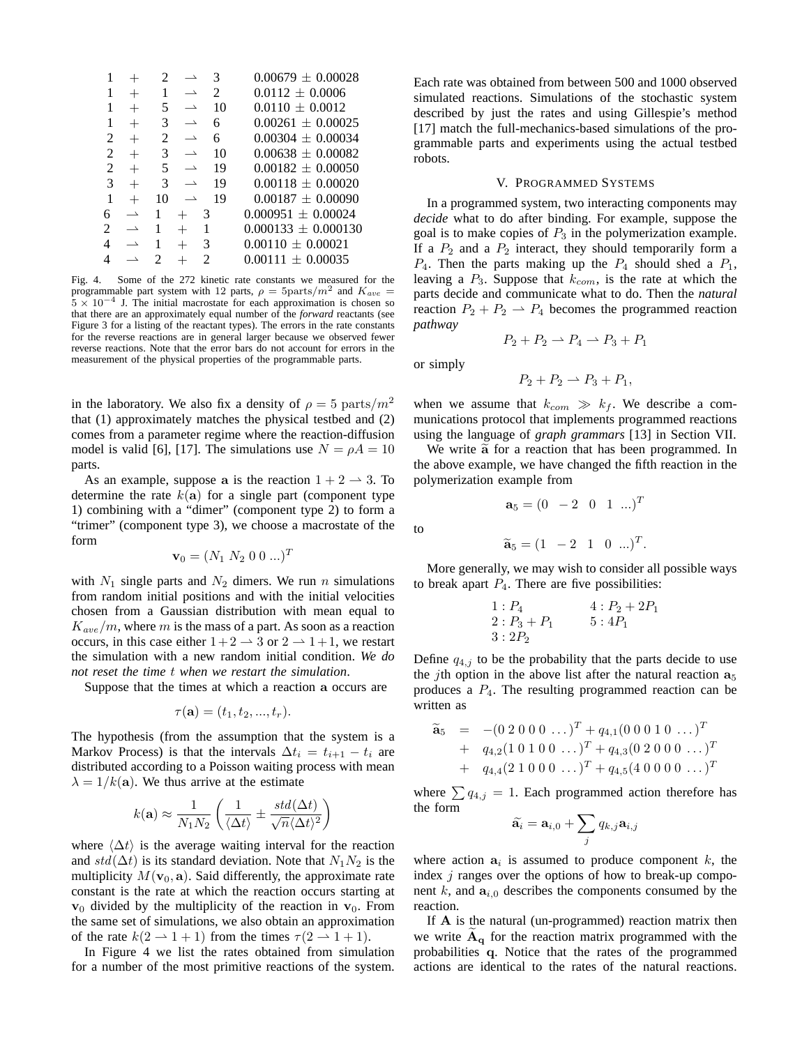|                             |                          |    | $\overline{\phantom{0}}$ | 3  | $0.00679 + 0.00028$   |
|-----------------------------|--------------------------|----|--------------------------|----|-----------------------|
| 1                           | $^{+}$                   | 1  | $\overline{\phantom{a}}$ | 2  | $0.0112 \pm 0.0006$   |
| 1                           |                          | 5  | $\overline{\phantom{0}}$ | 10 | $0.0110 \pm 0.0012$   |
|                             | $^{+}$                   | 3  | $\overline{\phantom{0}}$ | 6  | $0.00261 + 0.00025$   |
| $\mathcal{D}_{\mathcal{L}}$ | $^{+}$                   | 2  | $\rightharpoonup$        | 6  | $0.00304 \pm 0.00034$ |
| 2                           | $^{+}$                   | 3  | $\overline{\phantom{0}}$ | 10 | $0.00638 + 0.00082$   |
| $\mathcal{L}$               | $^{+}$                   | 5  | $\overline{\phantom{0}}$ | 19 | $0.00182 + 0.00050$   |
| 3                           | $^{+}$                   | 3  | $\overline{\phantom{0}}$ | 19 | $0.00118 + 0.00020$   |
| 1                           | $^{+}$                   | 10 | $\overline{\phantom{0}}$ | 19 | $0.00187 + 0.00090$   |
| 6                           | $\overline{\phantom{0}}$ |    |                          | 3  | $0.000951 + 0.00024$  |
|                             | $\overline{\phantom{0}}$ |    |                          |    | $0.000133 + 0.000130$ |
| 4                           | $\overline{\phantom{0}}$ |    |                          | 3  | $0.00110 \pm 0.00021$ |
|                             | $\overline{\phantom{0}}$ | 2  |                          | 2  | $0.00111 \pm 0.00035$ |
|                             |                          |    |                          |    |                       |

Fig. 4. Some of the 272 kinetic rate constants we measured for the programmable part system with 12 parts,  $\rho = 5$ parts/ $m^2$  and  $K_{ave}$  $5 \times 10^{-4}$  J. The initial macrostate for each approximation is chosen so that there are an approximately equal number of the *forward* reactants (see Figure 3 for a listing of the reactant types). The errors in the rate constants for the reverse reactions are in general larger because we observed fewer reverse reactions. Note that the error bars do not account for errors in the measurement of the physical properties of the programmable parts.

in the laboratory. We also fix a density of  $\rho = 5$  parts/ $m^2$ that (1) approximately matches the physical testbed and (2) comes from a parameter regime where the reaction-diffusion model is valid [6], [17]. The simulations use  $N = \rho A = 10$ parts.

As an example, suppose a is the reaction  $1 + 2 \rightarrow 3$ . To determine the rate  $k(\mathbf{a})$  for a single part (component type 1) combining with a "dimer" (component type 2) to form a "trimer" (component type 3), we choose a macrostate of the form

$$
\mathbf{v}_0 = (N_1 \ N_2 \ 0 \ 0 \ ...)^T
$$

with  $N_1$  single parts and  $N_2$  dimers. We run n simulations from random initial positions and with the initial velocities chosen from a Gaussian distribution with mean equal to  $K_{ave}/m$ , where m is the mass of a part. As soon as a reaction occurs, in this case either  $1+2 \rightarrow 3$  or  $2 \rightarrow 1+1$ , we restart the simulation with a new random initial condition. *We do not reset the time* t *when we restart the simulation*.

Suppose that the times at which a reaction a occurs are

$$
\tau(\mathbf{a})=(t_1,t_2,...,t_r).
$$

The hypothesis (from the assumption that the system is a Markov Process) is that the intervals  $\Delta t_i = t_{i+1} - t_i$  are distributed according to a Poisson waiting process with mean  $\lambda = 1/k(a)$ . We thus arrive at the estimate

$$
k(\mathbf{a}) \approx \frac{1}{N_1 N_2} \left( \frac{1}{\langle \Delta t \rangle} \pm \frac{std(\Delta t)}{\sqrt{n} \langle \Delta t \rangle^2} \right)
$$

where  $\langle \Delta t \rangle$  is the average waiting interval for the reaction and  $std(\Delta t)$  is its standard deviation. Note that  $N_1N_2$  is the multiplicity  $M(\mathbf{v}_0, \mathbf{a})$ . Said differently, the approximate rate constant is the rate at which the reaction occurs starting at  $v_0$  divided by the multiplicity of the reaction in  $v_0$ . From the same set of simulations, we also obtain an approximation of the rate  $k(2 \rightarrow 1 + 1)$  from the times  $\tau(2 \rightarrow 1 + 1)$ .

In Figure 4 we list the rates obtained from simulation for a number of the most primitive reactions of the system.

Each rate was obtained from between 500 and 1000 observed simulated reactions. Simulations of the stochastic system described by just the rates and using Gillespie's method [17] match the full-mechanics-based simulations of the programmable parts and experiments using the actual testbed robots.

#### V. PROGRAMMED SYSTEMS

In a programmed system, two interacting components may *decide* what to do after binding. For example, suppose the goal is to make copies of  $P_3$  in the polymerization example. If a  $P_2$  and a  $P_2$  interact, they should temporarily form a  $P_4$ . Then the parts making up the  $P_4$  should shed a  $P_1$ , leaving a  $P_3$ . Suppose that  $k_{com}$ , is the rate at which the parts decide and communicate what to do. Then the *natural* reaction  $P_2 + P_2 \rightharpoonup P_4$  becomes the programmed reaction *pathway*

$$
P_2 + P_2 \rightharpoonup P_4 \rightharpoonup P_3 + P_1
$$

or simply

$$
P_2 + P_2 \rightharpoonup P_3 + P_1,
$$

when we assume that  $k_{com} \gg k_f$ . We describe a communications protocol that implements programmed reactions using the language of *graph grammars* [13] in Section VII.

We write  $\tilde{a}$  for a reaction that has been programmed. In the above example, we have changed the fifth reaction in the polymerization example from

$$
\mathbf{a}_5 = (0 \ -2 \ 0 \ 1 \ ...)^T
$$

to

$$
\widetilde{\mathbf{a}}_5 = (1 \ -2 \ 1 \ 0 \ ...)^T.
$$

More generally, we may wish to consider all possible ways to break apart  $P_4$ . There are five possibilities:

1: 
$$
P_4
$$
  
2:  $P_3 + P_1$   
3:  $2P_2$   
4:  $P_2 + 2P_1$   
5:  $4P_1$ 

Define  $q_{4,j}$  to be the probability that the parts decide to use the *j*th option in the above list after the natural reaction  $a_5$ produces a  $P_4$ . The resulting programmed reaction can be written as

$$
\widetilde{\mathbf{a}}_5 = -(0\ 2\ 0\ 0\ 0\ \dots)^T + q_{4,1}(0\ 0\ 0\ 1\ 0\ \dots)^T \n+ q_{4,2}(1\ 0\ 1\ 0\ 0\ \dots)^T + q_{4,3}(0\ 2\ 0\ 0\ 0\ \dots)^T \n+ q_{4,4}(2\ 1\ 0\ 0\ 0\ \dots)^T + q_{4,5}(4\ 0\ 0\ 0\ 0\ \dots)^T
$$

where  $\sum q_{4,j} = 1$ . Each programmed action therefore has the form

$$
\widetilde{\mathbf{a}}_i = \mathbf{a}_{i,0} + \sum_j q_{k,j} \mathbf{a}_{i,j}
$$

where action  $a_i$  is assumed to produce component k, the index  $j$  ranges over the options of how to break-up component  $k$ , and  $a_{i,0}$  describes the components consumed by the reaction.

If A is the natural (un-programmed) reaction matrix then we write  $A_{q}$  for the reaction matrix programmed with the probabilities q. Notice that the rates of the programmed actions are identical to the rates of the natural reactions.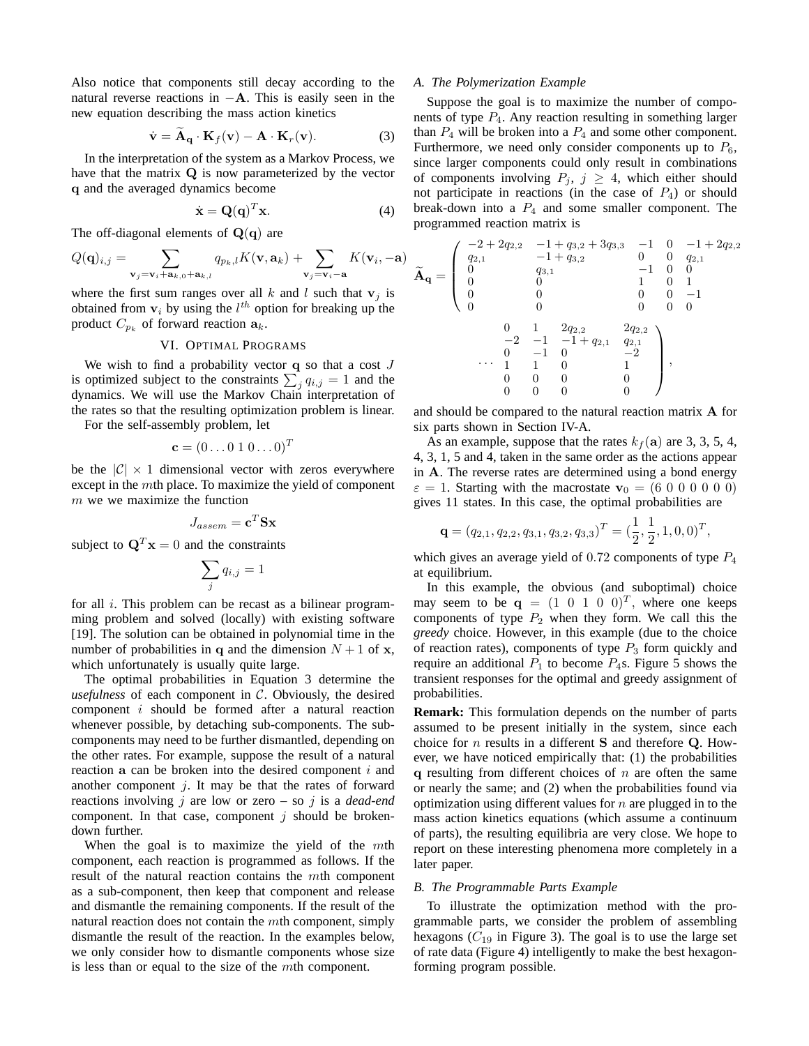Also notice that components still decay according to the natural reverse reactions in  $-A$ . This is easily seen in the new equation describing the mass action kinetics

$$
\dot{\mathbf{v}} = \mathbf{A}_{\mathbf{q}} \cdot \mathbf{K}_{f}(\mathbf{v}) - \mathbf{A} \cdot \mathbf{K}_{r}(\mathbf{v}). \tag{3}
$$

In the interpretation of the system as a Markov Process, we have that the matrix Q is now parameterized by the vector q and the averaged dynamics become

$$
\dot{\mathbf{x}} = \mathbf{Q}(\mathbf{q})^T \mathbf{x}.\tag{4}
$$

The off-diagonal elements of  $\mathbf{Q}(\mathbf{q})$  are

$$
Q(\mathbf{q})_{i,j} = \sum_{\mathbf{v}_j = \mathbf{v}_i + \mathbf{a}_{k,0} + \mathbf{a}_{k,l}} q_{p_k,l} K(\mathbf{v}, \mathbf{a}_k) + \sum_{\mathbf{v}_j = \mathbf{v}_i - \mathbf{a}} K(\mathbf{v}_i, -\mathbf{a})
$$

where the first sum ranges over all  $k$  and  $l$  such that  $v_j$  is obtained from  $v_i$  by using the  $l^{th}$  option for breaking up the product  $C_{p_k}$  of forward reaction  $a_k$ .

## VI. OPTIMAL PROGRAMS

We wish to find a probability vector  $q$  so that a cost  $J$ is optimized subject to the constraints  $\sum_{j} q_{i,j} = 1$  and the dynamics. We will use the Markov Chain interpretation of the rates so that the resulting optimization problem is linear.

For the self-assembly problem, let

$$
\mathbf{c} = (0 \dots 0 \ 1 \ 0 \dots 0)^T
$$

be the  $|\mathcal{C}| \times 1$  dimensional vector with zeros everywhere except in the mth place. To maximize the yield of component  $m$  we we maximize the function

$$
J_{assen} = \mathbf{c}^T \mathbf{S} \mathbf{x}
$$

subject to  $\mathbf{Q}^T \mathbf{x} = 0$  and the constraints

$$
\sum_j q_{i,j} = 1
$$

for all  $i$ . This problem can be recast as a bilinear programming problem and solved (locally) with existing software [19]. The solution can be obtained in polynomial time in the number of probabilities in q and the dimension  $N + 1$  of x, which unfortunately is usually quite large.

The optimal probabilities in Equation 3 determine the *usefulness* of each component in  $C$ . Obviously, the desired component i should be formed after a natural reaction whenever possible, by detaching sub-components. The subcomponents may need to be further dismantled, depending on the other rates. For example, suppose the result of a natural reaction a can be broken into the desired component  $i$  and another component  $j$ . It may be that the rates of forward reactions involving j are low or zero – so j is a *dead-end* component. In that case, component  $j$  should be brokendown further.

When the goal is to maximize the yield of the mth component, each reaction is programmed as follows. If the result of the natural reaction contains the mth component as a sub-component, then keep that component and release and dismantle the remaining components. If the result of the natural reaction does not contain the mth component, simply dismantle the result of the reaction. In the examples below, we only consider how to dismantle components whose size is less than or equal to the size of the mth component.

#### *A. The Polymerization Example*

Suppose the goal is to maximize the number of components of type  $P_4$ . Any reaction resulting in something larger than  $P_4$  will be broken into a  $P_4$  and some other component. Furthermore, we need only consider components up to  $P_6$ , since larger components could only result in combinations of components involving  $P_j$ ,  $j \geq 4$ , which either should not participate in reactions (in the case of  $P_4$ ) or should break-down into a  $P_4$  and some smaller component. The programmed reaction matrix is

$$
\widetilde{\mathbf{A}}_{\mathbf{q}} = \left( \begin{array}{cccc} -2 + 2 q_{2,2} & -1 + q_{3,2} + 3 q_{3,3} & -1 & 0 & -1 + 2 q_{2,2} \\ q_{2,1} & -1 + q_{3,2} & 0 & 0 & q_{2,1} \\ 0 & q_{3,1} & -1 & 0 & 0 \\ 0 & 0 & 1 & 0 & 1 \\ 0 & 0 & 0 & 0 & -1 \\ 0 & 0 & 0 & 0 & 0 \\ 0 & 1 & 2 q_{2,2} & 2 q_{2,2} \\ -2 & -1 & -1 + q_{2,1} & q_{2,1} \\ 0 & -1 & 0 & -2 \\ \cdots & 1 & 1 & 0 & 1 \\ 0 & 0 & 0 & 0 & 0 \\ 0 & 0 & 0 & 0 & 0 \end{array} \right),
$$

and should be compared to the natural reaction matrix A for six parts shown in Section IV-A.

As an example, suppose that the rates  $k_f(a)$  are 3, 3, 5, 4, 4, 3, 1, 5 and 4, taken in the same order as the actions appear in A. The reverse rates are determined using a bond energy  $\varepsilon = 1$ . Starting with the macrostate  $\mathbf{v}_0 = (6\ 0\ 0\ 0\ 0\ 0\ 0)$ gives 11 states. In this case, the optimal probabilities are

$$
\mathbf{q} = (q_{2,1}, q_{2,2}, q_{3,1}, q_{3,2}, q_{3,3})^T = (\frac{1}{2}, \frac{1}{2}, 1, 0, 0)^T,
$$

which gives an average yield of  $0.72$  components of type  $P_4$ at equilibrium.

In this example, the obvious (and suboptimal) choice may seem to be  $\mathbf{q} = (1 \ 0 \ 1 \ 0 \ 0)^T$ , where one keeps components of type  $P_2$  when they form. We call this the *greedy* choice. However, in this example (due to the choice of reaction rates), components of type  $P_3$  form quickly and require an additional  $P_1$  to become  $P_4$ s. Figure 5 shows the transient responses for the optimal and greedy assignment of probabilities.

**Remark:** This formulation depends on the number of parts assumed to be present initially in the system, since each choice for  $n$  results in a different  $S$  and therefore  $Q$ . However, we have noticed empirically that: (1) the probabilities q resulting from different choices of  $n$  are often the same or nearly the same; and (2) when the probabilities found via optimization using different values for  $n$  are plugged in to the mass action kinetics equations (which assume a continuum of parts), the resulting equilibria are very close. We hope to report on these interesting phenomena more completely in a later paper.

## *B. The Programmable Parts Example*

To illustrate the optimization method with the programmable parts, we consider the problem of assembling hexagons  $(C_{19}$  in Figure 3). The goal is to use the large set of rate data (Figure 4) intelligently to make the best hexagonforming program possible.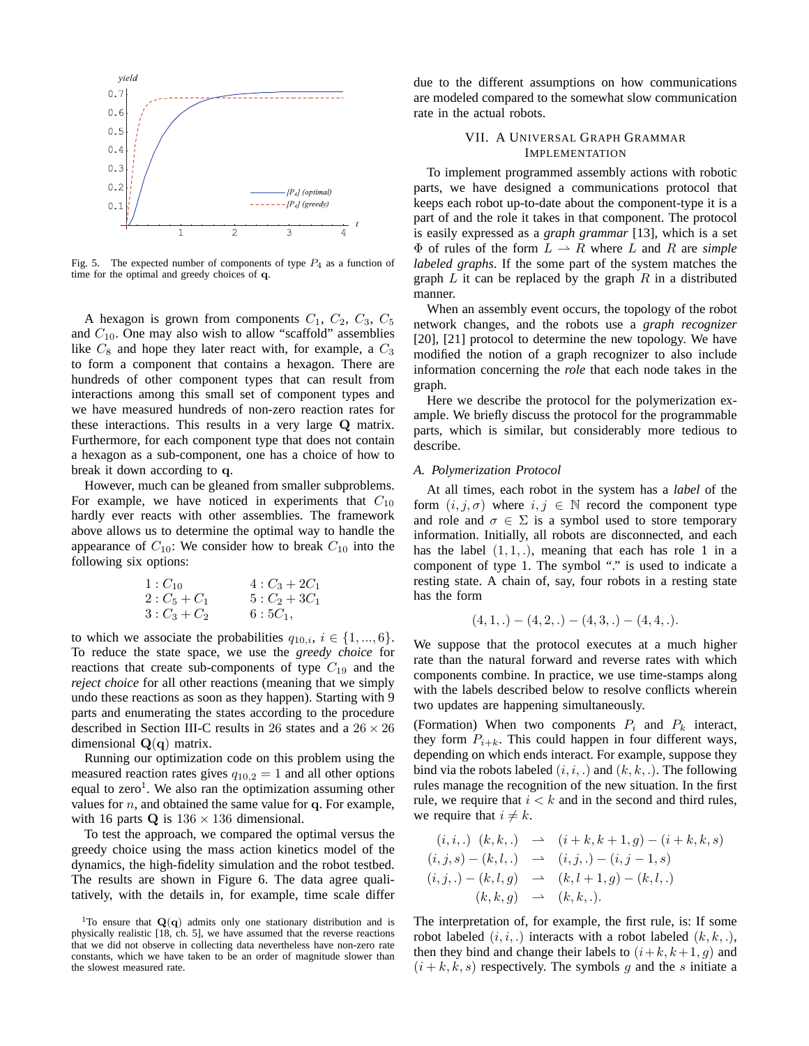

Fig. 5. The expected number of components of type  $P_4$  as a function of time for the optimal and greedy choices of q.

A hexagon is grown from components  $C_1$ ,  $C_2$ ,  $C_3$ ,  $C_5$ and  $C_{10}$ . One may also wish to allow "scaffold" assemblies like  $C_8$  and hope they later react with, for example, a  $C_3$ to form a component that contains a hexagon. There are hundreds of other component types that can result from interactions among this small set of component types and we have measured hundreds of non-zero reaction rates for these interactions. This results in a very large Q matrix. Furthermore, for each component type that does not contain a hexagon as a sub-component, one has a choice of how to break it down according to q.

However, much can be gleaned from smaller subproblems. For example, we have noticed in experiments that  $C_{10}$ hardly ever reacts with other assemblies. The framework above allows us to determine the optimal way to handle the appearance of  $C_{10}$ : We consider how to break  $C_{10}$  into the following six options:

$$
\begin{array}{lll}\n1: C_{10} & 4: C_3 + 2C_1 \\
2: C_5 + C_1 & 5: C_2 + 3C_1 \\
3: C_3 + C_2 & 6: 5C_1,\n\end{array}
$$

to which we associate the probabilities  $q_{10,i}$ ,  $i \in \{1, ..., 6\}$ . To reduce the state space, we use the *greedy choice* for reactions that create sub-components of type  $C_{19}$  and the *reject choice* for all other reactions (meaning that we simply undo these reactions as soon as they happen). Starting with 9 parts and enumerating the states according to the procedure described in Section III-C results in 26 states and a  $26 \times 26$ dimensional  $Q(q)$  matrix.

Running our optimization code on this problem using the measured reaction rates gives  $q_{10,2} = 1$  and all other options equal to zero<sup>1</sup>. We also ran the optimization assuming other values for  $n$ , and obtained the same value for q. For example, with 16 parts  $Q$  is  $136 \times 136$  dimensional.

To test the approach, we compared the optimal versus the greedy choice using the mass action kinetics model of the dynamics, the high-fidelity simulation and the robot testbed. The results are shown in Figure 6. The data agree qualitatively, with the details in, for example, time scale differ due to the different assumptions on how communications are modeled compared to the somewhat slow communication rate in the actual robots.

# VII. A UNIVERSAL GRAPH GRAMMAR IMPLEMENTATION

To implement programmed assembly actions with robotic parts, we have designed a communications protocol that keeps each robot up-to-date about the component-type it is a part of and the role it takes in that component. The protocol is easily expressed as a *graph grammar* [13], which is a set  $\Phi$  of rules of the form  $L \rightharpoonup R$  where L and R are *simple labeled graphs*. If the some part of the system matches the graph  $L$  it can be replaced by the graph  $R$  in a distributed manner.

When an assembly event occurs, the topology of the robot network changes, and the robots use a *graph recognizer* [20], [21] protocol to determine the new topology. We have modified the notion of a graph recognizer to also include information concerning the *role* that each node takes in the graph.

Here we describe the protocol for the polymerization example. We briefly discuss the protocol for the programmable parts, which is similar, but considerably more tedious to describe.

## *A. Polymerization Protocol*

At all times, each robot in the system has a *label* of the form  $(i, j, \sigma)$  where  $i, j \in \mathbb{N}$  record the component type and role and  $\sigma \in \Sigma$  is a symbol used to store temporary information. Initially, all robots are disconnected, and each has the label  $(1, 1, ...)$ , meaning that each has role 1 in a component of type 1. The symbol "." is used to indicate a resting state. A chain of, say, four robots in a resting state has the form

$$
(4,1,.)-(4,2,.)-(4,3,.)-(4,4,.).
$$

We suppose that the protocol executes at a much higher rate than the natural forward and reverse rates with which components combine. In practice, we use time-stamps along with the labels described below to resolve conflicts wherein two updates are happening simultaneously.

(Formation) When two components  $P_i$  and  $P_k$  interact, they form  $P_{i+k}$ . This could happen in four different ways, depending on which ends interact. For example, suppose they bind via the robots labeled  $(i, i, .)$  and  $(k, k, .)$ . The following rules manage the recognition of the new situation. In the first rule, we require that  $i < k$  and in the second and third rules, we require that  $i \neq k$ .

$$
(i, i,.) \ (k, k,.) \rightarrow (i+k, k+1, g) - (i+k, k, s)
$$
  
\n
$$
(i, j, s) - (k, l,.) \rightarrow (i, j,.) - (i, j-1, s)
$$
  
\n
$$
(i, j,.) - (k, l, g) \rightarrow (k, l+1, g) - (k, l,.)
$$
  
\n
$$
(k, k, g) \rightarrow (k, k,.).
$$

The interpretation of, for example, the first rule, is: If some robot labeled  $(i, i, .)$  interacts with a robot labeled  $(k, k, .)$ , then they bind and change their labels to  $(i+k, k+1, g)$  and  $(i + k, k, s)$  respectively. The symbols g and the s initiate a

<sup>&</sup>lt;sup>1</sup>To ensure that  $Q(q)$  admits only one stationary distribution and is physically realistic [18, ch. 5], we have assumed that the reverse reactions that we did not observe in collecting data nevertheless have non-zero rate constants, which we have taken to be an order of magnitude slower than the slowest measured rate.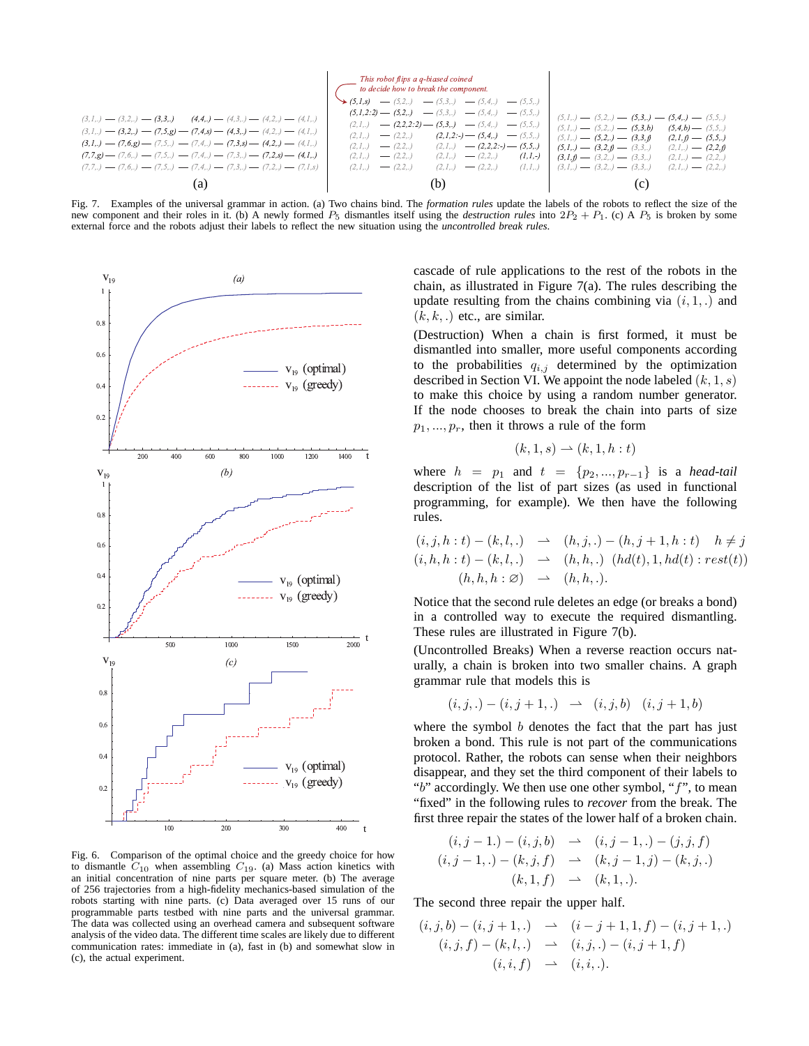$$
(3,1,1) - (3,2,1) - (3,3,1) - (3,3,2) - (3,3,3) - (3,3,1) - (3,3,2) - (3,3,3) - (3,3,3) - (3,3,3) - (3,3,3) - (3,3,3) - (3,3,3) - (3,3,3) - (3,3,3) - (3,3,3) - (3,3,3) - (3,3,3) - (3,3,3) - (3,3,3) - (3,3,3) - (3,3,3) - (3,3,3) - (3,3,3) - (3,3,3) - (3,3,3) - (3,3,3) - (3,3,3) - (3,3,3) - (3,3,3) - (3,3,3) - (3,3,3) - (3,3,3) - (3,3,3) - (3,3,3) - (3,3,3) - (3,3,3) - (3,3,3) - (3,3,3) - (3,3,3) - (3,3,3) - (3,3,3) - (3,3,3) - (3,3,3) - (3,3,3) - (3,3,3) - (3,3,3) - (3,3,3) - (3,3,3) - (3,3,3) - (3,3,3) - (3,3,3) - (3,3,3) - (3,3,3) - (3,3,3) - (3,3,3) - (3,3,3) - (3,3,3) - (3,3,3) - (3,3,3) - (3,3,3) - (3,3,3) - (3,3,3) - (3,3,3) - (3,3,3) - (3,3,3) - (3,3,3) - (3,3,3) - (3,3,3) - (3,3,3) - (3,3,3) - (3,3,3) - (3,3,3) - (3,3,3) - (3,3,3) - (3,3,3) - (3,3,3) - (3,3,3) - (3,3,3) - (3,3,3) - (3,3,3) - (3,3,3) - (3,3,3) - (3,3,3) - (3,3,3) - (3,3,3) - (3,3,3) - (3,3,3) - (3,3,3) - (3,3,3) - (3,3,3) - (3,3,3) - (3,3,3) - (3,3,3) - (3,3,3) -
$$

Fig. 7. Examples of the universal grammar in action. (a) Two chains bind. The *formation rules* update the labels of the robots to reflect the size of the new component and their roles in it. (b) A newly formed  $P_5$  dismantles itself using the *destruction rules* into  $2P_2 + P_1$ . (c) A  $P_5$  is broken by some external force and the robots adjust their labels to reflect the new situation using the *uncontrolled break rules*.



Fig. 6. Comparison of the optimal choice and the greedy choice for how to dismantle  $C_{10}$  when assembling  $C_{19}$ . (a) Mass action kinetics with an initial concentration of nine parts per square meter. (b) The average of 256 trajectories from a high-fidelity mechanics-based simulation of the robots starting with nine parts. (c) Data averaged over 15 runs of our programmable parts testbed with nine parts and the universal grammar. The data was collected using an overhead camera and subsequent software analysis of the video data. The different time scales are likely due to different communication rates: immediate in (a), fast in (b) and somewhat slow in (c), the actual experiment.

cascade of rule applications to the rest of the robots in the chain, as illustrated in Figure 7(a). The rules describing the update resulting from the chains combining via  $(i, 1, .)$  and  $(k, k, .)$  etc., are similar.

(Destruction) When a chain is first formed, it must be dismantled into smaller, more useful components according to the probabilities  $q_{i,j}$  determined by the optimization described in Section VI. We appoint the node labeled  $(k, 1, s)$ to make this choice by using a random number generator. If the node chooses to break the chain into parts of size  $p_1, ..., p_r$ , then it throws a rule of the form

$$
(k,1,s) \rightharpoonup (k,1,h:t)
$$

where  $h = p_1$  and  $t = \{p_2, ..., p_{r-1}\}$  is a *head-tail* description of the list of part sizes (as used in functional programming, for example). We then have the following rules.

$$
(i, j, h:t) - (k, l,.) \rightarrow (h, j,.) - (h, j + 1, h:t) \quad h \neq j
$$
  

$$
(i, h, h:t) - (k, l,.) \rightarrow (h, h,.) \quad (hd(t), 1, hd(t) : rest(t))
$$
  

$$
(h, h, h: \varnothing) \rightarrow (h, h, .).
$$

Notice that the second rule deletes an edge (or breaks a bond) in a controlled way to execute the required dismantling. These rules are illustrated in Figure 7(b).

(Uncontrolled Breaks) When a reverse reaction occurs naturally, a chain is broken into two smaller chains. A graph grammar rule that models this is

$$
(i, j, .) - (i, j + 1, .) \rightarrow (i, j, b) (i, j + 1, b)
$$

where the symbol  $b$  denotes the fact that the part has just broken a bond. This rule is not part of the communications protocol. Rather, the robots can sense when their neighbors disappear, and they set the third component of their labels to " $b$ " accordingly. We then use one other symbol, " $f$ ", to mean "fixed" in the following rules to *recover* from the break. The first three repair the states of the lower half of a broken chain.

$$
(i, j - 1, ) - (i, j, b) \rightarrow (i, j - 1, .) - (j, j, f)
$$
  

$$
(i, j - 1, .) - (k, j, f) \rightarrow (k, j - 1, j) - (k, j, .)
$$
  

$$
(k, 1, f) \rightarrow (k, 1, .).
$$

The second three repair the upper half.

$$
(i, j, b) - (i, j + 1,.) \rightarrow (i - j + 1, 1, f) - (i, j + 1,.)
$$
  
\n
$$
(i, j, f) - (k, l,.) \rightarrow (i, j,.) - (i, j + 1, f)
$$
  
\n
$$
(i, i, f) \rightarrow (i, i,.).
$$